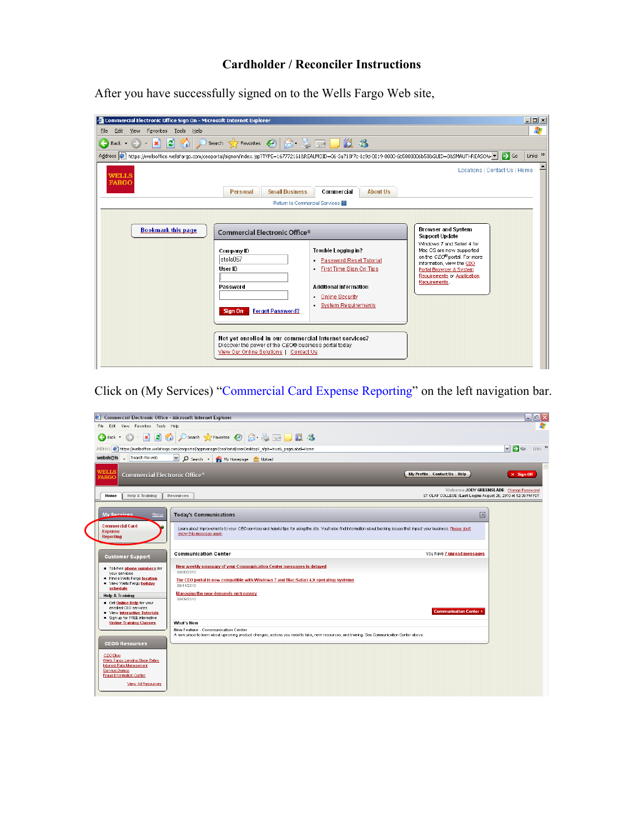# **Cardholder / Reconciler Instructions**

After you have successfully signed on to the Wells Fargo Web site,

| Commercial Electronic Office Sign On - Microsoft Internet Explorer                                                                                           |                                                                                                                                                                                                                                                                                  |                                                                                                                                                                           |                                                                                                                                                                                                                                                                  |                     |  |  |
|--------------------------------------------------------------------------------------------------------------------------------------------------------------|----------------------------------------------------------------------------------------------------------------------------------------------------------------------------------------------------------------------------------------------------------------------------------|---------------------------------------------------------------------------------------------------------------------------------------------------------------------------|------------------------------------------------------------------------------------------------------------------------------------------------------------------------------------------------------------------------------------------------------------------|---------------------|--|--|
| View Favorites Tools Help<br>Edit<br>File                                                                                                                    |                                                                                                                                                                                                                                                                                  |                                                                                                                                                                           |                                                                                                                                                                                                                                                                  |                     |  |  |
|                                                                                                                                                              |                                                                                                                                                                                                                                                                                  |                                                                                                                                                                           |                                                                                                                                                                                                                                                                  |                     |  |  |
| Address bihtps://wellsoffice.wellsfargo.com/ceoportal/signon/index.jsp?TYPE=1677721618REALMOID=06-3a718f7c-1c9d-0019-0000-6b5800006b588cGUID=08SMAUTHREASON= |                                                                                                                                                                                                                                                                                  |                                                                                                                                                                           |                                                                                                                                                                                                                                                                  | Links $\rightarrow$ |  |  |
| <b>WELLS</b><br><b>FARGO</b>                                                                                                                                 |                                                                                                                                                                                                                                                                                  |                                                                                                                                                                           | Locations   Contact Us   Home                                                                                                                                                                                                                                    |                     |  |  |
|                                                                                                                                                              | <b>Small Business</b><br><b>Personal</b>                                                                                                                                                                                                                                         | Commercial<br><b>About Us</b>                                                                                                                                             |                                                                                                                                                                                                                                                                  |                     |  |  |
|                                                                                                                                                              |                                                                                                                                                                                                                                                                                  | Return to Commercial Services                                                                                                                                             |                                                                                                                                                                                                                                                                  |                     |  |  |
| <b>Bookmark this page</b>                                                                                                                                    | Commercial Electronic Office®<br>Company ID<br>stola057<br>User ID<br>Password<br><b>Forgot Password?</b><br>Sian On<br>Not yet enrolled in our commercial Internet services?<br>Discover the power of the CEO® business portal today.<br>View Our Online Solutions   Contact Us | <b>Trouble Logging in?</b><br><b>Password Reset Tutorial</b><br>First Time Sign On Tips<br><b>Additional Information</b><br><b>Online Security</b><br>System Requirements | <b>Browser and System</b><br><b>Support Update</b><br>Windows 7 and Safari 4 for<br>Mac OS are now supported<br>on the CEO <sup>®</sup> portal. For more<br>information, view the CEO<br>Portal Browser & System<br>Requirements or Application<br>Requirements. |                     |  |  |

Click on (My Services) "Commercial Card Expense Reporting" on the left navigation bar.

| $\epsilon$<br><b>Commercial Electronic Office - Microsoft Internet Explorer</b>                                                   |                                                                                                                                                                                                          |                                                                                                          | $\blacksquare$ e $\mathsf{X}$                        |
|-----------------------------------------------------------------------------------------------------------------------------------|----------------------------------------------------------------------------------------------------------------------------------------------------------------------------------------------------------|----------------------------------------------------------------------------------------------------------|------------------------------------------------------|
| View Favorites Tools Help<br>File<br>Edit                                                                                         |                                                                                                                                                                                                          |                                                                                                          | 45                                                   |
| $\bigodot$ Back $\cdot$                                                                                                           | · R 2 4 Osearch 大Favorites ④ Q 是国口假名                                                                                                                                                                     |                                                                                                          |                                                      |
|                                                                                                                                   | Address $\circledast$ https://wellsoffice.wellsfargo.com/ceoportal/appmanager/ceoPortal/ccerDesktop? nfpb=true& pageLabel=Home                                                                           |                                                                                                          | Links <sup>&gt;&gt;</sup><br>$\vee$ $\rightarrow$ Go |
| websh@ts . Search the web                                                                                                         | V O Search > My Homepage Upload                                                                                                                                                                          |                                                                                                          |                                                      |
| WELLS<br>Commercial Electronic Office <sup>®</sup><br>FARGC                                                                       |                                                                                                                                                                                                          | My Profile Contact Us Help                                                                               | $\times$ Sign Off                                    |
| Help & Training<br>Home                                                                                                           | Resources                                                                                                                                                                                                | Welcome JODY GREENSLADE Change Password<br>ST OLAF COLLEGE   Last Login: August 26, 2010 at 12:38 PM PDT |                                                      |
|                                                                                                                                   |                                                                                                                                                                                                          |                                                                                                          |                                                      |
| Status<br><b>My Services</b>                                                                                                      | <b>Today's Communications</b>                                                                                                                                                                            | $\sqrt{2}$                                                                                               |                                                      |
| <b>Commercial Card</b><br><b>Expense</b><br><b>Reporting</b>                                                                      | Learn about improvements to your CEO services and helpful tips for using the site. You'll also find information about banking issues that impact your business. Please don't<br>show this message again. |                                                                                                          |                                                      |
| <b>Customer Support</b>                                                                                                           | <b>Communication Center</b>                                                                                                                                                                              | You have 7 unread messages                                                                               |                                                      |
| Toll-free phone numbers for<br>vour services                                                                                      | New weekly summary of your Communication Center messages is delayed<br>08/30/2010                                                                                                                        |                                                                                                          |                                                      |
| Find a Wells Fargo location<br>View Wells Fargo holiday<br>schedule                                                               | The CEO portal is now compatible with Windows 7 and Mac/Safari 4.X operating systems<br>08/11/2010                                                                                                       |                                                                                                          |                                                      |
| <b>Help &amp; Training</b>                                                                                                        | <b>Managing the new demands on treasury</b><br>08/09/2010                                                                                                                                                |                                                                                                          |                                                      |
| Get Online Help for your<br>enrolled CEO services<br>View Interactive Tutorials<br>Sign up for FREE interactive                   |                                                                                                                                                                                                          | <b>Communication Center &gt;</b>                                                                         |                                                      |
| <b>Online Training Classes</b>                                                                                                    | <b>What's New</b><br><b>New Feature - Communication Center</b>                                                                                                                                           |                                                                                                          |                                                      |
|                                                                                                                                   | A new place to learn about upcoming product changes, actions you need to take, new resources, and training. See Communication Center above.                                                              |                                                                                                          |                                                      |
| <b>CEO® Resources</b>                                                                                                             |                                                                                                                                                                                                          |                                                                                                          |                                                      |
| CEO Blog<br>Wells Fargo Lending Base Rates<br><b>Interest Rate Management</b><br>Service Demos<br><b>Fraud Information Center</b> |                                                                                                                                                                                                          |                                                                                                          |                                                      |
| View All Resources                                                                                                                |                                                                                                                                                                                                          |                                                                                                          |                                                      |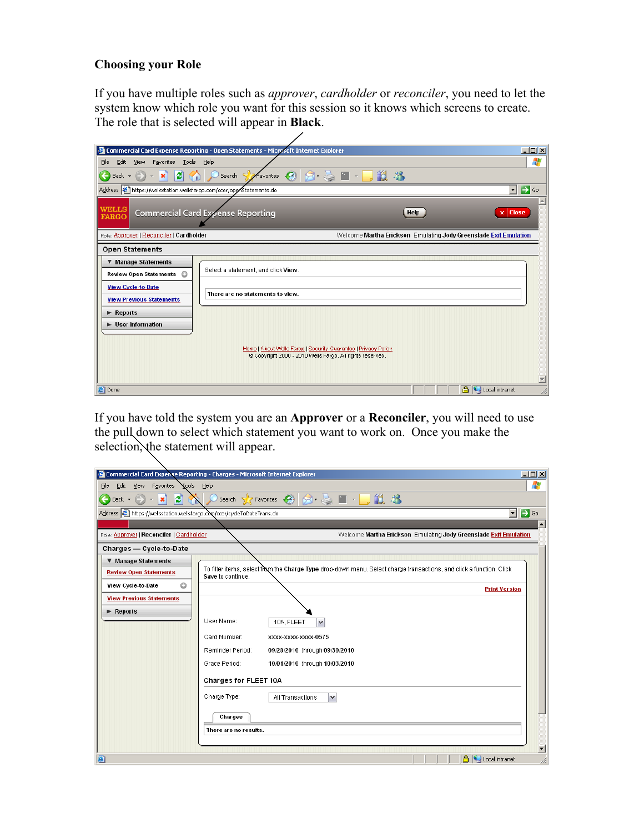### **Choosing your Role**

If you have multiple roles such as *approver*, *cardholder* or *reconciler*, you need to let the system know which role you want for this session so it knows which screens to create. The role that is selected will appear in **Black**.

| Commercial Card Expense Reporting - Open Statements - Microsoft Internet Explorer                                                                                                                                                                                               | $\Box$ D $\Box$                                                                                                             |
|---------------------------------------------------------------------------------------------------------------------------------------------------------------------------------------------------------------------------------------------------------------------------------|-----------------------------------------------------------------------------------------------------------------------------|
| Edit<br><b>Tools</b><br>Help<br>Eile<br>View<br>Favorites                                                                                                                                                                                                                       | Ж                                                                                                                           |
| $\blacksquare$<br>$\epsilon$<br>$- \mathbf{x} $<br>$Back - (+)$<br>Search $\sqrt{\phantom{a}}$ Avorites<br>$\leftarrow$                                                                                                                                                         | <b>AI-D33</b>                                                                                                               |
| Address 6 https://wellsstation.wellsfargo.com/ccer/openStatements.do                                                                                                                                                                                                            | →<br>▾<br>Go                                                                                                                |
| <b>WELLS</b><br><b>Commercial Card Expense Reporting</b><br><b>FARGO</b>                                                                                                                                                                                                        | <b>Close</b><br>Help<br>×                                                                                                   |
| Role: Approver   Reconciler   Cardholder                                                                                                                                                                                                                                        | Welcome Martha Erickson Emulating Jody Greenslade Exit Emulation                                                            |
| <b>Open Statements</b>                                                                                                                                                                                                                                                          |                                                                                                                             |
| <b>Manage Statements</b><br>Select a statement, and click View.<br><b>Review Open Statements</b><br><b>View Cycle-to-Date</b><br>There are no statements to view.<br><b>View Previous Statements</b><br>$\blacktriangleright$ Reports<br>$\blacktriangleright$ User Information | Home   About Wells Fargo   Security Guarantee   Privacy Policy<br>© Copyright 2000 - 2010 Wells Fargo. All rights reserved. |
| e Done                                                                                                                                                                                                                                                                          | <b>A</b> Local intranet                                                                                                     |

If you have told the system you are an **Approver** or a **Reconciler**, you will need to use the pull down to select which statement you want to work on. Once you make the selection, the statement will appear.

|                                                                          | $\Box$ D $\Box$<br>Commercial Card Expense Reporting - Charges - Microsoft Internet Explorer                         |  |  |  |  |  |
|--------------------------------------------------------------------------|----------------------------------------------------------------------------------------------------------------------|--|--|--|--|--|
| Ŧ<br>Yools Help<br>Edit<br>View<br>Favorites<br>File                     |                                                                                                                      |  |  |  |  |  |
| ø<br>$ \mathbf{x} $<br>Back $\star$                                      |                                                                                                                      |  |  |  |  |  |
| Address (1) https://wellsstation.wellsfargo.com/ccer/cycleToDateTrans.do | $\vert \cdot \vert$                                                                                                  |  |  |  |  |  |
|                                                                          | $\Rightarrow$ Go<br>$\overline{\phantom{a}}$                                                                         |  |  |  |  |  |
| Role: Approver   Reconciler   Cardholder                                 | Welcome Martha Erickson Emulating Jody Greenslade Exit Emulation                                                     |  |  |  |  |  |
| Charges - Cycle-to-Date                                                  |                                                                                                                      |  |  |  |  |  |
|                                                                          |                                                                                                                      |  |  |  |  |  |
| <b>Manage Statements</b>                                                 | To filter items, select from the Charge Type drop-down menu. Select charge transactions, and click a function. Click |  |  |  |  |  |
| <b>Review Open Statements</b>                                            | Save to continue.                                                                                                    |  |  |  |  |  |
| $\circ$<br>View Cycle-to-Date                                            | <b>Print Version</b>                                                                                                 |  |  |  |  |  |
| <b>View Previous Statements</b>                                          |                                                                                                                      |  |  |  |  |  |
| $\blacktriangleright$ Reports                                            |                                                                                                                      |  |  |  |  |  |
|                                                                          | User Name:<br>10A, FLEET                                                                                             |  |  |  |  |  |
|                                                                          | Card Number:<br>XXXX-XXXX-XXXX-0575                                                                                  |  |  |  |  |  |
|                                                                          | Reminder Period:<br>09/28/2010 through 09/30/2010                                                                    |  |  |  |  |  |
|                                                                          | Grace Period:<br>10/01/2010 through 10/03/2010                                                                       |  |  |  |  |  |
|                                                                          | Charges for FLEET 10A                                                                                                |  |  |  |  |  |
|                                                                          | Charge Type:<br>All Transactions<br>$\checkmark$                                                                     |  |  |  |  |  |
|                                                                          |                                                                                                                      |  |  |  |  |  |
|                                                                          | Charges                                                                                                              |  |  |  |  |  |
|                                                                          | There are no results.                                                                                                |  |  |  |  |  |
|                                                                          |                                                                                                                      |  |  |  |  |  |
|                                                                          | $\overline{\phantom{a}}$                                                                                             |  |  |  |  |  |
| G                                                                        | Local intranet<br>h,                                                                                                 |  |  |  |  |  |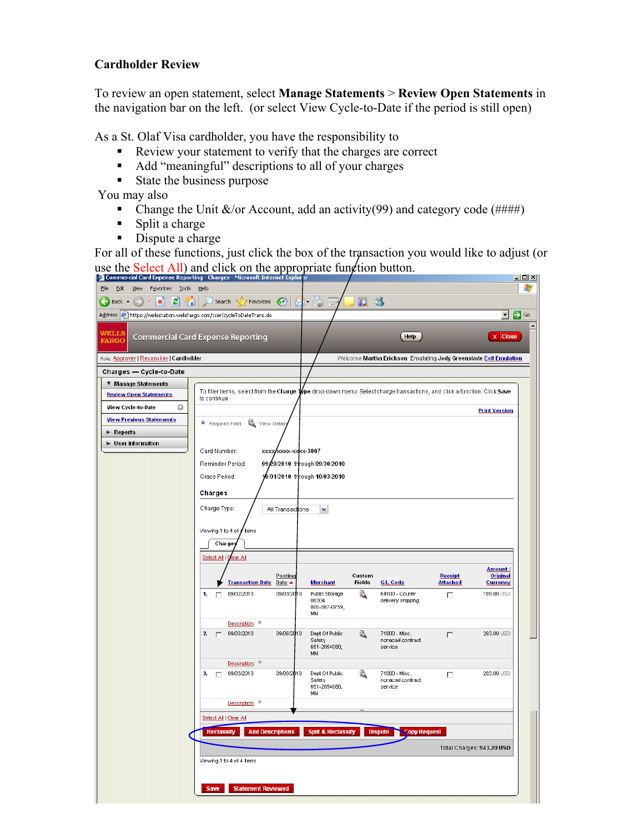### **Cardholder Review**

To review an open statement, select **Manage Statements** > **Review Open Statements** in the navigation bar on the left. (or select View Cycle-to-Date if the period is still open)

As a St. Olaf Visa cardholder, you have the responsibility to

- Review your statement to verify that the charges are correct
- Add "meaningful" descriptions to all of your charges
- **State the business purpose**

You may also

- Change the Unit  $\&$ /or Account, add an activity(99) and category code (####)
- $\blacksquare$  Split a charge
- Dispute a charge

For all of these functions, just click the box of the transaction you would like to adjust (or use the Select All) and click on the appropriate function button.

|                                                                            | Commercial Card Expense Reporting - Charges - Microsoft Internet Explorer |                                                                                                                                    | $\Box$ u $\times$                                                            |
|----------------------------------------------------------------------------|---------------------------------------------------------------------------|------------------------------------------------------------------------------------------------------------------------------------|------------------------------------------------------------------------------|
| Eile<br>Edit<br>View<br>Favorites<br><b>Tools</b>                          | Help                                                                      |                                                                                                                                    | 4                                                                            |
| $\bigodot$ Back $\star$<br>×<br>e<br>$\mathbf{v}$<br>п                     | €<br>Search $\mathbb{S}$<br>Favorites                                     | <b>RAD</b><br>鼢<br>$\frac{33}{22}$<br>$\overline{\mathbb{R}}$                                                                      |                                                                              |
| Address   [3] https://wellsstation.wellsfargo.com/ccer/cycleToDateTrans.do |                                                                           |                                                                                                                                    | ▼ D Go                                                                       |
| WELLS<br><b>FARGO</b>                                                      | <b>Commercial Card Expense Reporting</b>                                  | Help                                                                                                                               | <b>Close</b><br>$\overline{\mathbf{x}}$                                      |
| Role: Approver   Reconciler   Cardholder                                   |                                                                           |                                                                                                                                    | Welcome Martha Erickson Emulating Jody Greenslade Exit Emulation             |
| Charges — Cycle-to-Date                                                    |                                                                           |                                                                                                                                    |                                                                              |
| ▼ Manage Statements                                                        |                                                                           |                                                                                                                                    |                                                                              |
| <b>Review Open Statements</b>                                              | to continue.                                                              | To filter items, select from the Charge T <b>/</b> pe drop-down menu. Select charge transactions, and click a function. Click Save |                                                                              |
| O<br>View Cycle-to-Date                                                    |                                                                           |                                                                                                                                    | <b>Print Version</b>                                                         |
| <b>View Previous Statements</b>                                            | ٩<br>* Required Field<br>View Details                                     |                                                                                                                                    |                                                                              |
| $\blacktriangleright$ Reports                                              |                                                                           |                                                                                                                                    |                                                                              |
| $\blacktriangleright$ User Information                                     |                                                                           |                                                                                                                                    |                                                                              |
|                                                                            | Card Number:<br>XXXXXXXXX-XXXXX-3807                                      |                                                                                                                                    |                                                                              |
|                                                                            | Reminder Period:                                                          | 09/28/2010 through 09/30/2010                                                                                                      |                                                                              |
|                                                                            | Grace Period:                                                             | 10/01/2010 through 10/03/2010                                                                                                      |                                                                              |
|                                                                            | Charges                                                                   |                                                                                                                                    |                                                                              |
|                                                                            | Charge Type:<br>All Transactions                                          | $\checkmark$                                                                                                                       |                                                                              |
|                                                                            |                                                                           |                                                                                                                                    |                                                                              |
|                                                                            | Viewing 1 to 4 of <b>4</b> Items                                          |                                                                                                                                    |                                                                              |
|                                                                            | <b>Charges</b>                                                            |                                                                                                                                    |                                                                              |
|                                                                            | Select All<br>ear All                                                     |                                                                                                                                    |                                                                              |
|                                                                            | Posting<br>Transaction Date Date ▲                                        | Custom<br><b>Fields</b><br><b>Merchant</b><br><b>G/L Code</b>                                                                      | Amount /<br>Receipt<br><b>Original</b><br><u>Attached</u><br><b>Currency</b> |
|                                                                            | 1.<br>09/02/2010<br>09/03/20 10<br>П                                      | Q<br>Public Storage<br>64100 - Courier<br>08304<br>delivery shipping<br>800-567-0759.<br>MN                                        | 189.00 USD<br>п                                                              |
|                                                                            | Description: *                                                            |                                                                                                                                    |                                                                              |
|                                                                            | 09/03/2010<br>09/06/2010<br>2.<br>п.                                      | Dept Of Public<br>Q<br>71800 - Misc.<br>Safety<br>nonacad contract<br>651-2054080,<br>service<br>MN                                | 283.00 USD<br>П                                                              |
|                                                                            | Description: *                                                            |                                                                                                                                    |                                                                              |
|                                                                            | 09/06/2010<br>09/03/2010<br>$3.$ $\Box$                                   | ۵<br>Dept Of Public<br>71800 - Misc.<br>Safety<br>nonacad contract<br>651-2054080,<br>service<br>MN                                | 283.00 USD<br>п                                                              |
|                                                                            | Description: *                                                            |                                                                                                                                    |                                                                              |
|                                                                            | Select All   Clear All                                                    |                                                                                                                                    |                                                                              |
|                                                                            |                                                                           |                                                                                                                                    |                                                                              |
|                                                                            | <b>Reclassify</b><br><b>Add Descriptions</b>                              | <b>Split &amp; Reclassify</b><br><b>Dispute</b><br><b>Copy Request</b>                                                             |                                                                              |
|                                                                            |                                                                           |                                                                                                                                    | Total Charges: 943.20 USD                                                    |
|                                                                            | Viewing 1 to 4 of 4 Items                                                 |                                                                                                                                    |                                                                              |
|                                                                            |                                                                           |                                                                                                                                    |                                                                              |
|                                                                            | <b>Save</b><br><b>Statement Reviewed</b>                                  |                                                                                                                                    |                                                                              |
|                                                                            |                                                                           |                                                                                                                                    |                                                                              |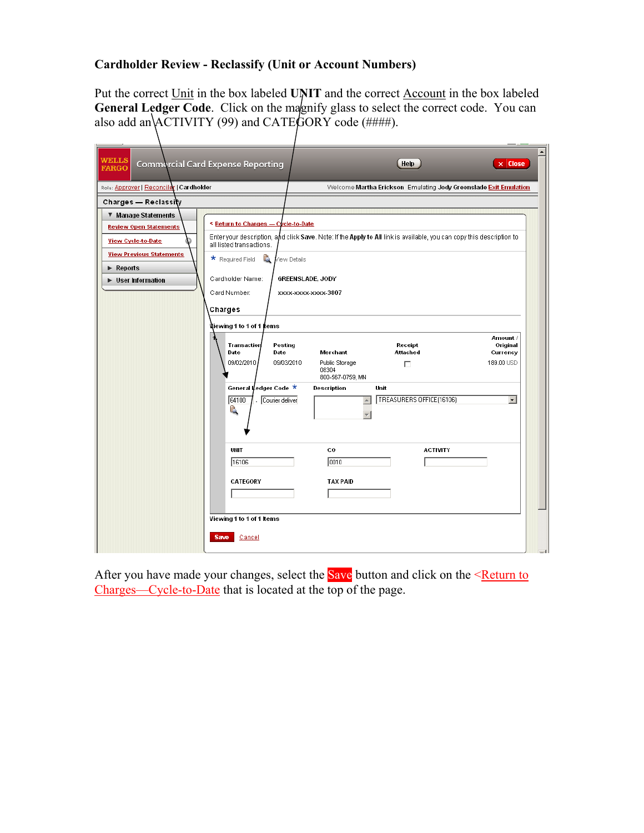# **Cardholder Review - Reclassify (Unit or Account Numbers)**

Put the correct Unit in the box labeled **UNIT** and the correct Account in the box labeled General Ledger Code. Click on the magnify glass to select the correct code. You can also add an  $\overline{ACTIVITY}$  (99) and CATE $\overline{GORY}$  code (####).

| <b>WELLS</b><br><b>FARGO</b>                                            | <b>Commercial Card Expense Reporting</b>                          |                                                | Help<br>$\times$ Close                                                                                                |
|-------------------------------------------------------------------------|-------------------------------------------------------------------|------------------------------------------------|-----------------------------------------------------------------------------------------------------------------------|
| Role: Approver   Reconciler   Cardholder                                |                                                                   |                                                | Welcome Martha Erickson Emulating Jody Greenslade Exit Emulation                                                      |
| Charges — Reclassity                                                    |                                                                   |                                                |                                                                                                                       |
| ▼ Manage Statements<br><b>Review Open Statements</b>                    | <b>S</b> Return to Charges - Cycle-to-Date                        |                                                | Enter your description, and click Save. Note: If the Apply to All link is available, you can copy this description to |
| <b>View Cycle-to-Date</b><br><b>View Previous Statements</b>            | all listed transactions.<br>å<br>* Required Field<br>View Details |                                                |                                                                                                                       |
| $\blacktriangleright$ Reports<br>$\blacktriangleright$ User Information | Cardholder Name:<br>Card Number:                                  | <b>GREENSLADE, JODY</b><br>XXXX-XXXX-XXXX-3807 |                                                                                                                       |
|                                                                         | Charges<br>Niewing 1 to 1 of 1 kems                               |                                                |                                                                                                                       |
|                                                                         | Transaction<br>Posting<br>Date<br>Date                            | Merchant                                       | Amount /<br>Original<br>Receipt<br>Attached<br>Currency                                                               |
|                                                                         | 09/02/2010<br>09/03/2010                                          | Public Storage<br>08304<br>800-567-0759, MN    | 189.00 USD<br>$\Box$                                                                                                  |
|                                                                         | General Ledger Code ★<br>64100<br>Courier deliver<br>Ą            | Description<br>Unit<br>$\blacktriangle$        | $\overline{\phantom{a}}$<br>TREASURERS OFFICE(16106)                                                                  |
|                                                                         | UNIT<br>16106                                                     | co<br>0010                                     | <b>ACTIVITY</b>                                                                                                       |
|                                                                         | CATEGORY                                                          | <b>TAX PAID</b>                                |                                                                                                                       |
|                                                                         | Viewing 1 to 1 of 1 Items<br><b>Save</b><br>Cancel                |                                                |                                                                                                                       |
|                                                                         |                                                                   |                                                |                                                                                                                       |

After you have made your changes, select the **Save** button and click on the <Return to Charges—Cycle-to-Date that is located at the top of the page.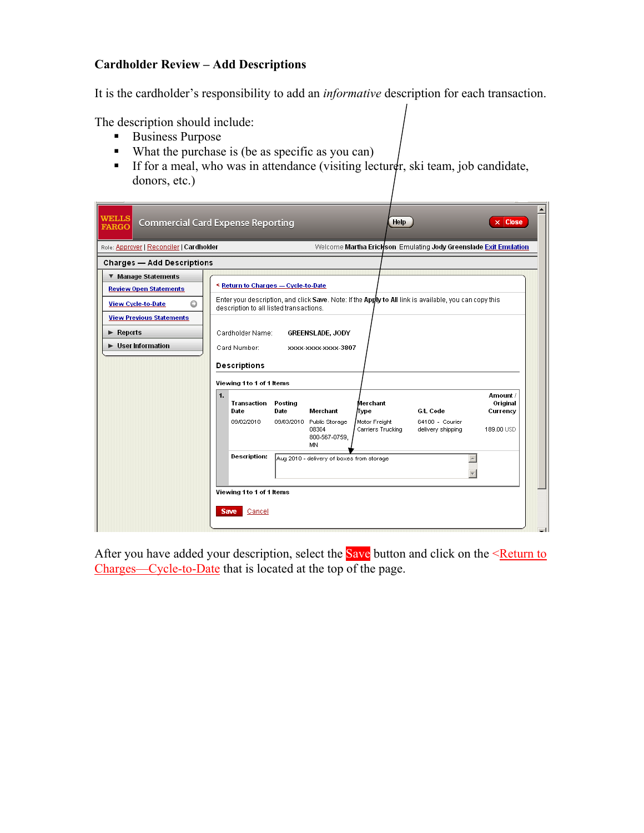# **Cardholder Review – Add Descriptions**

It is the cardholder's responsibility to add an *informative* description for each transaction.

The description should include:

- Business Purpose
- What the purchase is (be as specific as you can)
- If for a meal, who was in attendance (visiting lecturer, ski team, job candidate, donors, etc.)

| <b>WELLS</b><br><b>Commercial Card Expense Reporting</b><br><b>FARGO</b> |                           |                                         |                 |                                                           | Help                               |                                                                                                        | $\times$ Close                   |
|--------------------------------------------------------------------------|---------------------------|-----------------------------------------|-----------------|-----------------------------------------------------------|------------------------------------|--------------------------------------------------------------------------------------------------------|----------------------------------|
| Role: Approver   Reconciler   Cardholder                                 |                           |                                         |                 |                                                           |                                    | Welcome Martha Erickson Emulating Jody Greenslade Exit Emulation                                       |                                  |
| <b>Charges - Add Descriptions</b>                                        |                           |                                         |                 |                                                           |                                    |                                                                                                        |                                  |
| <b>Manage Statements</b>                                                 |                           |                                         |                 |                                                           |                                    |                                                                                                        |                                  |
| <b>Review Open Statements</b>                                            |                           | < Return to Charges - Cycle-to-Date     |                 |                                                           |                                    |                                                                                                        |                                  |
| ٥<br><b>View Cycle-to-Date</b>                                           |                           | description to all listed transactions. |                 |                                                           |                                    | Enter your description, and click Save. Note: If the Apply to All link is available, you can copy this |                                  |
| <b>View Previous Statements</b>                                          |                           |                                         |                 |                                                           |                                    |                                                                                                        |                                  |
| $\blacktriangleright$ Reports                                            |                           | Cardholder Name:                        |                 | <b>GREENSLADE, JODY</b>                                   |                                    |                                                                                                        |                                  |
| $\blacktriangleright$ User Information                                   |                           | Card Number:                            |                 | XXXX-XXXX XXXX-3807                                       |                                    |                                                                                                        |                                  |
|                                                                          |                           | <b>Descriptions</b>                     |                 |                                                           |                                    |                                                                                                        |                                  |
|                                                                          |                           | Viewing 1 to 1 of 1 Items               |                 |                                                           |                                    |                                                                                                        |                                  |
|                                                                          | $\mathbf{1}$              | Transaction<br>Date                     | Posting<br>Date | Merchant                                                  | Merchant<br>Type                   | <b>G/L Code</b>                                                                                        | Amount /<br>Original<br>Currency |
|                                                                          |                           | 09/02/2010                              |                 | 09/03/2010 Public Storage<br>08304<br>800-567-0759,<br>MN | Motor Freight<br>Carriers Trucking | 64100 - Courier<br>delivery shipping                                                                   | 189.00 USD                       |
|                                                                          |                           | Description:                            |                 | Aug 2010 - delivery of boxes from storage                 |                                    |                                                                                                        |                                  |
|                                                                          | Viewing 1 to 1 of 1 Items |                                         |                 |                                                           |                                    |                                                                                                        |                                  |
|                                                                          |                           | Save<br>Cancel                          |                 |                                                           |                                    |                                                                                                        |                                  |

After you have added your description, select the **Save** button and click on the  $\leq$ **Return to** Charges—Cycle-to-Date that is located at the top of the page.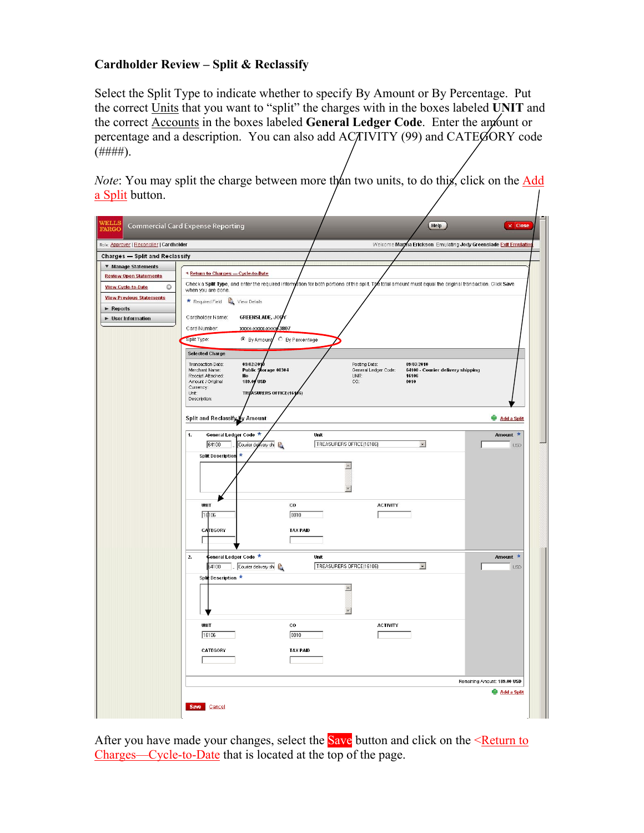# **Cardholder Review – Split & Reclassify**

Select the Split Type to indicate whether to specify By Amount or By Percentage. Put the correct Units that you want to "split" the charges with in the boxes labeled **UNIT** and the correct Accounts in the boxes labeled **General Ledger Code**. Enter the amount or percentage and a description. You can also add ACTIVITY (99) and CATEGORY code  $($ #### $).$ 

*Note*: You may split the charge between more than two units, to do this, click on the *Add* a Split button.

| <b>VELLS</b><br>FARGC                    | Help<br>Commercial Card Expense Reporting<br>$\times$ Close                                                                                                                   |
|------------------------------------------|-------------------------------------------------------------------------------------------------------------------------------------------------------------------------------|
| Role: Approver   Reconciler   Cardholder | Welcome Martha Erickson Emulating Jody Greenslade Exit Emulation                                                                                                              |
| <b>Charges — Split and Reclassify</b>    |                                                                                                                                                                               |
| ▼ Manage Statements                      |                                                                                                                                                                               |
| <b>Review Open Statements</b>            | < Return to Charges - Cycle-to-Date                                                                                                                                           |
| View Cycle-to-Date<br>O                  | Check a Split Type, and enter the required information for both portions of the split. The total amount must equal the original transaction. Click Save<br>when you are done. |
| <b>View Previous Statements</b>          | * Required Field View Details                                                                                                                                                 |
| $\blacktriangleright$ Reports            |                                                                                                                                                                               |
| <b>E</b> User Information                | GREENSLADE, JODY<br>Cardholder Name:                                                                                                                                          |
|                                          | Card Number:<br>3807<br>XXXX-XXXX-XXXX                                                                                                                                        |
|                                          | C By Percentage<br>Split Type:<br>C By Amount                                                                                                                                 |
|                                          | <b>Selected Charge</b>                                                                                                                                                        |
|                                          | Transaction Date:<br>09/02/2010<br>Posting Date:<br>09/03/2010                                                                                                                |
|                                          | Public Storage 08304<br>General Ledger Code:<br>64100 - Courier delivery shipping<br>Merchant Name:                                                                           |
|                                          | Receipt Attached:<br>No<br>UNIT:<br>16106<br>Amount / Original<br>189.09 USD<br>CO:<br>0010                                                                                   |
|                                          | Currency:<br>TREASURERS OFFICE(16106)<br>Unit:                                                                                                                                |
|                                          | Description:                                                                                                                                                                  |
|                                          |                                                                                                                                                                               |
|                                          | <b>Add a Split</b><br>Split and Reclassify by Amount                                                                                                                          |
|                                          | Amount *<br>General Ledger Code *<br>Unit<br>1.                                                                                                                               |
|                                          | TREASURERS OFFICE(16106)<br>$\bullet$<br>64100<br>Courier delivery shi<br><b>USD</b>                                                                                          |
|                                          | *<br><b>Split Description</b>                                                                                                                                                 |
|                                          | $\triangle$                                                                                                                                                                   |
|                                          |                                                                                                                                                                               |
|                                          |                                                                                                                                                                               |
|                                          |                                                                                                                                                                               |
|                                          | UNIT<br>co<br><b>ACTIVITY</b>                                                                                                                                                 |
|                                          | 16106<br>0010                                                                                                                                                                 |
|                                          | CATEGORY<br><b>TAX PAID</b>                                                                                                                                                   |
|                                          |                                                                                                                                                                               |
|                                          |                                                                                                                                                                               |
|                                          | Amount *<br>2.<br>seneral Ledger Code *<br>Unit                                                                                                                               |
|                                          | TREASURERS OFFICE(16106)<br>$\overline{\phantom{0}}$<br>64100<br>Courier delivery shi<br><b>USD</b>                                                                           |
|                                          | Split Description *                                                                                                                                                           |
|                                          | $\blacktriangle$                                                                                                                                                              |
|                                          |                                                                                                                                                                               |
|                                          | $\overline{\mathbf{v}}$                                                                                                                                                       |
|                                          | UNIT<br><b>ACTIVITY</b><br>$_{\rm co}$                                                                                                                                        |
|                                          | 16106<br>[0010]                                                                                                                                                               |
|                                          |                                                                                                                                                                               |
|                                          | CATEGORY<br><b>TAX PAID</b>                                                                                                                                                   |
|                                          |                                                                                                                                                                               |
|                                          | Remaining Amount: 189.00 USD                                                                                                                                                  |
|                                          | Add a Split                                                                                                                                                                   |
|                                          |                                                                                                                                                                               |
|                                          | Save<br>Cancel                                                                                                                                                                |

After you have made your changes, select the **Save** button and click on the <Return to Charges—Cycle-to-Date that is located at the top of the page.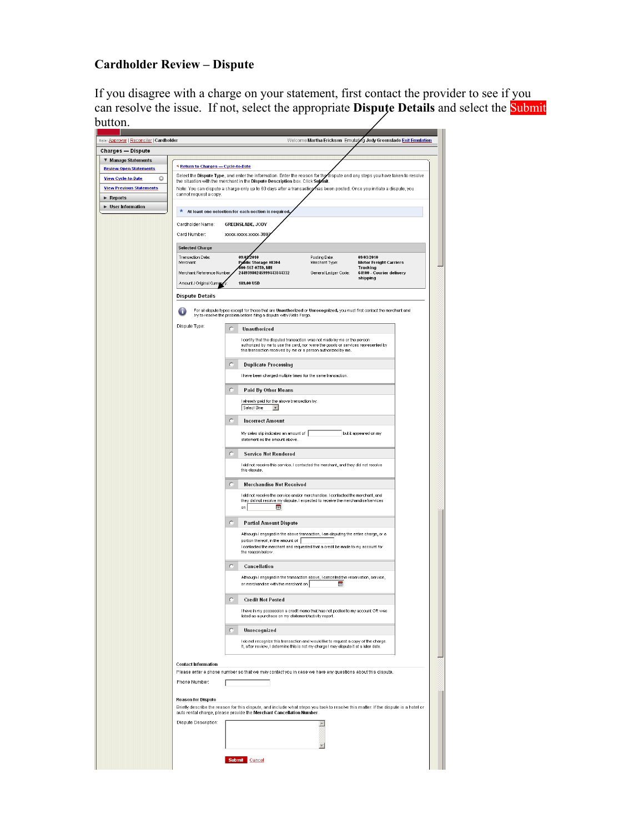# **Cardholder Review – Dispute**

If you disagree with a charge on your statement, first contact the provider to see if you can resolve the issue. If not, select the appropriate **Dispute Details** and select the Submit button.

| Role: Approver   Reconciler   Cardholder |                                                                                                                                                                                                               | Welcome Martha Erickson Emulating Jody Greenslade Exit Emulation                                                                                                                              |  |  |  |  |  |  |
|------------------------------------------|---------------------------------------------------------------------------------------------------------------------------------------------------------------------------------------------------------------|-----------------------------------------------------------------------------------------------------------------------------------------------------------------------------------------------|--|--|--|--|--|--|
| Charges — Dispute                        |                                                                                                                                                                                                               |                                                                                                                                                                                               |  |  |  |  |  |  |
| ▼ Manage Statements                      |                                                                                                                                                                                                               |                                                                                                                                                                                               |  |  |  |  |  |  |
| <b>Review Open Statements</b>            | < Return to Charges - Cycle-to-Date                                                                                                                                                                           |                                                                                                                                                                                               |  |  |  |  |  |  |
| O<br><b>View Cycle-to-Date</b>           | Select the Dispute Type, and enter the information. Enter the reason for the dispute and any steps you have taken to resolve<br>the situation with the merchant in the Dispute Description box. Click Supmit. |                                                                                                                                                                                               |  |  |  |  |  |  |
| <b>View Previous Statements</b>          | Note: You can dispute a charge only up to 60 days after a transaction has been posted. Once you initiate a dispute, you<br>cannot request a copy.                                                             |                                                                                                                                                                                               |  |  |  |  |  |  |
| ► Reports                                |                                                                                                                                                                                                               |                                                                                                                                                                                               |  |  |  |  |  |  |
| ▶ User Information                       | $\star$ At least one selection for each section is required,                                                                                                                                                  |                                                                                                                                                                                               |  |  |  |  |  |  |
|                                          | Cardholder Name:                                                                                                                                                                                              | <b>GREENSLADE, JODY</b>                                                                                                                                                                       |  |  |  |  |  |  |
|                                          |                                                                                                                                                                                                               |                                                                                                                                                                                               |  |  |  |  |  |  |
|                                          | Card Number:                                                                                                                                                                                                  | XXXX-XXXX-XXXX-380                                                                                                                                                                            |  |  |  |  |  |  |
|                                          | <b>Selected Charge</b>                                                                                                                                                                                        |                                                                                                                                                                                               |  |  |  |  |  |  |
|                                          | Transaction Date:<br>Merchant:                                                                                                                                                                                | 09/02/2010<br>Posting Date:<br>09/03/2010<br>Public Storage 08304<br><b>Motor Freight Carriers</b><br>Merchant Type:                                                                          |  |  |  |  |  |  |
|                                          | Merchant Reference Number                                                                                                                                                                                     | 600-567-0759, MN<br>Trucking<br>24493980245999443844332<br>General Ledger Code:<br>64100 - Courier delivery                                                                                   |  |  |  |  |  |  |
|                                          | Amount / Original Curre                                                                                                                                                                                       | shipping<br>189,00 USD                                                                                                                                                                        |  |  |  |  |  |  |
|                                          |                                                                                                                                                                                                               |                                                                                                                                                                                               |  |  |  |  |  |  |
|                                          | <b>Dispute Details</b>                                                                                                                                                                                        |                                                                                                                                                                                               |  |  |  |  |  |  |
|                                          |                                                                                                                                                                                                               | For all dispute types except for those that are Unauthorized or Unrecognized, you must first contact the merchant and<br>try to resolve the problem before filing a dispute with Wells Fargo. |  |  |  |  |  |  |
|                                          | Dispute Type:<br>C                                                                                                                                                                                            | Unauthorized                                                                                                                                                                                  |  |  |  |  |  |  |
|                                          |                                                                                                                                                                                                               | I certify that the disputed transaction was not made by me or the person<br>authorized by me to use the card, nor were the goods or services represented by                                   |  |  |  |  |  |  |
|                                          |                                                                                                                                                                                                               | this transaction received by me or a person authorized by me.                                                                                                                                 |  |  |  |  |  |  |
|                                          | C                                                                                                                                                                                                             | <b>Duplicate Processing</b>                                                                                                                                                                   |  |  |  |  |  |  |
|                                          |                                                                                                                                                                                                               | I have been charged multiple times for the same transaction.                                                                                                                                  |  |  |  |  |  |  |
|                                          |                                                                                                                                                                                                               |                                                                                                                                                                                               |  |  |  |  |  |  |
|                                          | c                                                                                                                                                                                                             | Paid By Other Means                                                                                                                                                                           |  |  |  |  |  |  |
|                                          |                                                                                                                                                                                                               | I already paid for the above transaction by:                                                                                                                                                  |  |  |  |  |  |  |
|                                          |                                                                                                                                                                                                               | Select One<br>≖                                                                                                                                                                               |  |  |  |  |  |  |
|                                          | $\subset$                                                                                                                                                                                                     | <b>Incorrect Amount</b>                                                                                                                                                                       |  |  |  |  |  |  |
|                                          |                                                                                                                                                                                                               | My sales slip indicates an amount of  <br>but it appeared on my                                                                                                                               |  |  |  |  |  |  |
|                                          |                                                                                                                                                                                                               | statement as the amount above                                                                                                                                                                 |  |  |  |  |  |  |
|                                          | C                                                                                                                                                                                                             | <b>Service Not Rendered</b>                                                                                                                                                                   |  |  |  |  |  |  |
|                                          |                                                                                                                                                                                                               | I did not receive this service. I contacted the merchant, and they did not resolve                                                                                                            |  |  |  |  |  |  |
|                                          |                                                                                                                                                                                                               | this dispute.                                                                                                                                                                                 |  |  |  |  |  |  |
|                                          | C                                                                                                                                                                                                             | Merchandise Not Received                                                                                                                                                                      |  |  |  |  |  |  |
|                                          |                                                                                                                                                                                                               | I did not receive the service and/or merchandise. I contacted the merchant, and                                                                                                               |  |  |  |  |  |  |
|                                          |                                                                                                                                                                                                               | they did not resolve my dispute. I expected to receive the merchandise/services<br>on<br>圓                                                                                                    |  |  |  |  |  |  |
|                                          |                                                                                                                                                                                                               |                                                                                                                                                                                               |  |  |  |  |  |  |
|                                          | C                                                                                                                                                                                                             | <b>Partial Amount Dispute</b>                                                                                                                                                                 |  |  |  |  |  |  |
|                                          |                                                                                                                                                                                                               | Although I engaged in the above transaction, I am disputing the entire charge, or a                                                                                                           |  |  |  |  |  |  |
|                                          |                                                                                                                                                                                                               | portion thereof, in the amount of<br>I contacted the merchant and requested that a credit be made to my account for                                                                           |  |  |  |  |  |  |
|                                          |                                                                                                                                                                                                               | the reason below                                                                                                                                                                              |  |  |  |  |  |  |
|                                          | C                                                                                                                                                                                                             | Cancellation                                                                                                                                                                                  |  |  |  |  |  |  |
|                                          |                                                                                                                                                                                                               | Although I engaged in the transaction above, I cancelled the reservation, service,<br>or merchandise with the merchant on<br>冊                                                                |  |  |  |  |  |  |
|                                          | c                                                                                                                                                                                                             | <b>Credit Not Posted</b>                                                                                                                                                                      |  |  |  |  |  |  |
|                                          |                                                                                                                                                                                                               | I have in my possession a credit memo that has not posted to my account OR was                                                                                                                |  |  |  |  |  |  |
|                                          |                                                                                                                                                                                                               | listed as a purchase on my statement/activity report.                                                                                                                                         |  |  |  |  |  |  |
|                                          | C                                                                                                                                                                                                             | Unrecognized                                                                                                                                                                                  |  |  |  |  |  |  |
|                                          |                                                                                                                                                                                                               | I do not recognize this transaction and would like to request a copy of the charge.                                                                                                           |  |  |  |  |  |  |
|                                          |                                                                                                                                                                                                               | If, after review, I determine this is not my charge I may dispute it at a later date.                                                                                                         |  |  |  |  |  |  |
|                                          |                                                                                                                                                                                                               |                                                                                                                                                                                               |  |  |  |  |  |  |
|                                          | <b>Contact Information</b>                                                                                                                                                                                    | Please enter a phone number so that we may contact you in case we have any questions about this dispute.                                                                                      |  |  |  |  |  |  |
|                                          | Phone Number:                                                                                                                                                                                                 |                                                                                                                                                                                               |  |  |  |  |  |  |
|                                          |                                                                                                                                                                                                               |                                                                                                                                                                                               |  |  |  |  |  |  |
|                                          | <b>Reason for Dispute</b>                                                                                                                                                                                     |                                                                                                                                                                                               |  |  |  |  |  |  |
|                                          |                                                                                                                                                                                                               | Briefly describe the reason for this dispute, and include what steps you took to resolve this matter. If the dispute is a hotel or                                                            |  |  |  |  |  |  |
|                                          | Dispute Description:                                                                                                                                                                                          | auto rental charge, please provide the Merchant Cancellation Number.                                                                                                                          |  |  |  |  |  |  |
|                                          |                                                                                                                                                                                                               | $\blacktriangle$                                                                                                                                                                              |  |  |  |  |  |  |
|                                          |                                                                                                                                                                                                               |                                                                                                                                                                                               |  |  |  |  |  |  |
|                                          |                                                                                                                                                                                                               |                                                                                                                                                                                               |  |  |  |  |  |  |
|                                          |                                                                                                                                                                                                               | Submit Cancel                                                                                                                                                                                 |  |  |  |  |  |  |
|                                          |                                                                                                                                                                                                               |                                                                                                                                                                                               |  |  |  |  |  |  |